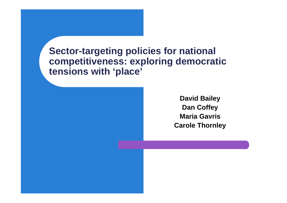**Sector-targeting policies for national competitiveness: exploring democratic tensions with 'place'**

> **David Bailey Dan Coffey Maria GavrisCarole Thornley**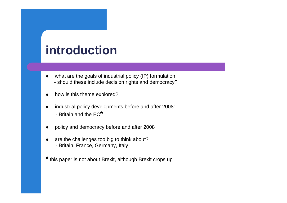## **introduction**

- $\bullet$  what are the goals of industrial policy (IP) formulation: - should these include decision rights and democracy?
- $\bullet$ how is this theme explored?
- $\bullet$  industrial policy developments before and after 2008: - Britain and the EC**\***
- $\bullet$ policy and democracy before and after 2008
- $\bullet$  are the challenges too big to think about? - Britain, France, Germany, Italy
- **\*** this paper is not about Brexit, although Brexit crops up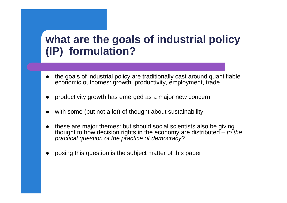### **what are the goals of industrial policy (IP) formulation?**

- 0 the goals of industrial policy are traditionally cast around quantifiable economic outcomes: growth, productivity, employment, trade
- $\bullet$ productivity growth has emerged as a major new concern
- 0 with some (but not a lot) of thought about sustainability
- 0 these are major themes: but should social scientists also be giving thought to how decision rights in the economy are distributed – *to the practical question of the practice of democracy*?
- $\bullet$ posing this question is the subject matter of this paper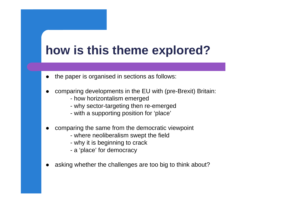# **how is this theme explored?**

- 0 the paper is organised in sections as follows:
- $\bullet$  comparing developments in the EU with (pre-Brexit) Britain:
	- how horizontalism emerged
	- why sector-targeting then re-emerged
	- with a supporting position for 'place'
- $\bullet$  comparing the same from the democratic viewpoint
	- where neoliberalism swept the field
	- why it is beginning to crack
	- <sup>a</sup>'place' for democracy
- $\bullet$ asking whether the challenges are too big to think about?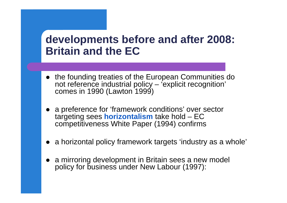### **developments before and after 2008: Britain and the EC**

- the founding treaties of the European Communities do not reference industrial policy – 'explicit recognition' comes in 1990 (Lawton 1999)
- a preference for 'framework conditions' over sector targeting sees **horizontalism** take hold – EC competitiveness White Paper (1994) confirms
- a horizontal policy framework targets 'industry as a whole'
- $\bullet$  a mirroring development in Britain sees a new model policy for business under New Labour (1997):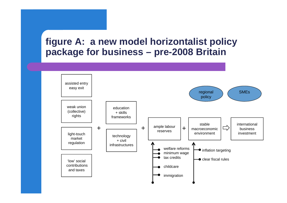#### **figure A: a new model horizontalist policy package for business – pre-2008 Britain**

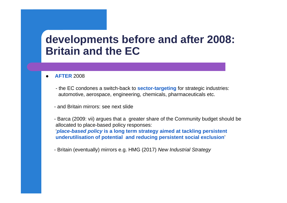### **developments before and after 2008: Britain and the EC**

- 0 **AFTER** 2008
	- the EC condones a switch-back to **sector-targeting** for strategic industries: automotive, aerospace, engineering, chemicals, pharmaceuticals etc.
	- and Britain mirrors: see next slide
	- Barca (2009: vii) argues that a greater share of the Community budget should be allocated to place-based policy responses: '*place-based policy* **is a long term strategy aimed at tackling persistent underutilisation of potential and reducing persistent social exclusion**'
	- Britain (eventually) mirrors e.g. HMG (2017) *New Industrial Strategy*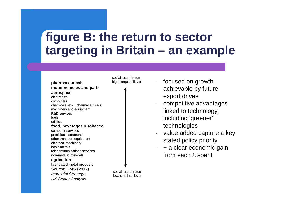## **figure B: the return to sector targeting in Britain – an example**



social rate of return high: large spillover

 focused on growth achievable by future export drives

- competitive advantages linked to technology, including 'greener' technologies
- value added capture a key stated policy priority
- - + a clear economic gain from each £ spent

social rate of return low: small spillover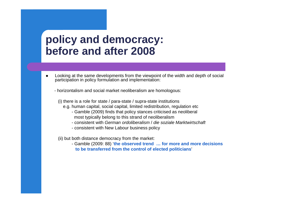### **policy and democracy: before and after 2008**

 $\bullet$  Looking at the same developments from the viewpoint of the width and depth of social participation in policy formulation and implementation:

- horizontalism and social market neoliberalism are homologous:

(i) there is a role for state / para-state / supra-state institutions

- e.g. human capital, social capital, limited redistribution, regulation etc
	- Gamble (2009) finds that policy stances criticised as neoliberal most typically belong to this strand of neoliberalism
	- consistent with *German ordoliberalism* / *die soziale Marktwirtschaft*
	- consistent with New Labour business policy

(ii) but both distance democracy from the market:

- Gamble (2009: 88) '**the observed trend … for more and more decisions to be transferred from the control of elected politicians**'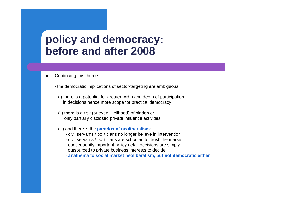#### **policy and democracy: before and after 2008**

- $\bullet$  Continuing this theme:
	- the democratic implications of sector-targeting are ambiguous:
		- (i) there is a potential for greater width and depth of participation in decisions hence more scope for practical democracy
		- (ii) there is a risk (or even likelihood) of hidden or only partially disclosed private influence activities
		- (iii) and there is the **paradox of neoliberalism**:
			- civil servants / politicians no longer believe in intervention
			- civil servants / politicians are schooled to 'trust' the market
			- consequently important policy detail decisions are simply outsourced to private business interests to decide
			- **anathema to social market neoliberalism, but not democratic either**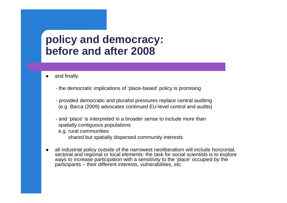### **policy and democracy: before and after 2008**

- 0 and finally:
	- the democratic implications of 'place-based' policy is promising
	- provided democratic and pluralist pressures replace central auditing (e.g. Barca (2009) advocates continued EU-level control and audits)
	- and 'place' is interpreted in a broader sense to include more than spatially contiguous populations e.g. rural communities shared but spatially dispersed community interests
- $\bullet$  all industrial policy outside of the narrowest neoliberalism will include horizontal, sectoral and regional or local elements: the task for social scientists is to explore ways to increase participation with a sensitivity to the 'place' occupied by the participants – their different interests, vulnerabilities, etc.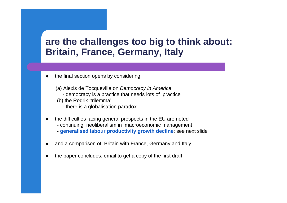#### **are the challenges too big to think about: Britain, France, Germany, Italy**

- 0 the final section opens by considering:
	- (a) Alexis de Tocqueville on *Democracy in America*
		- democracy is a practice that needs lots of practice
	- (b) the Rodrik 'trilemma'
		- there is a globalisation paradox
- $\bullet$  the difficulties facing general prospects in the EU are noted - continuing neoliberalism in macroeconomic management - **generalised labour productivity growth decline**: see next slide
- $\bullet$ and a comparison of Britain with France, Germany and Italy
- $\bullet$ the paper concludes: email to get a copy of the first draft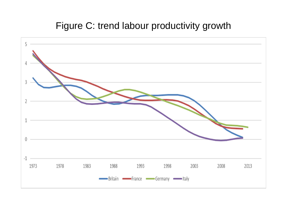#### Figure C: trend labour productivity growth